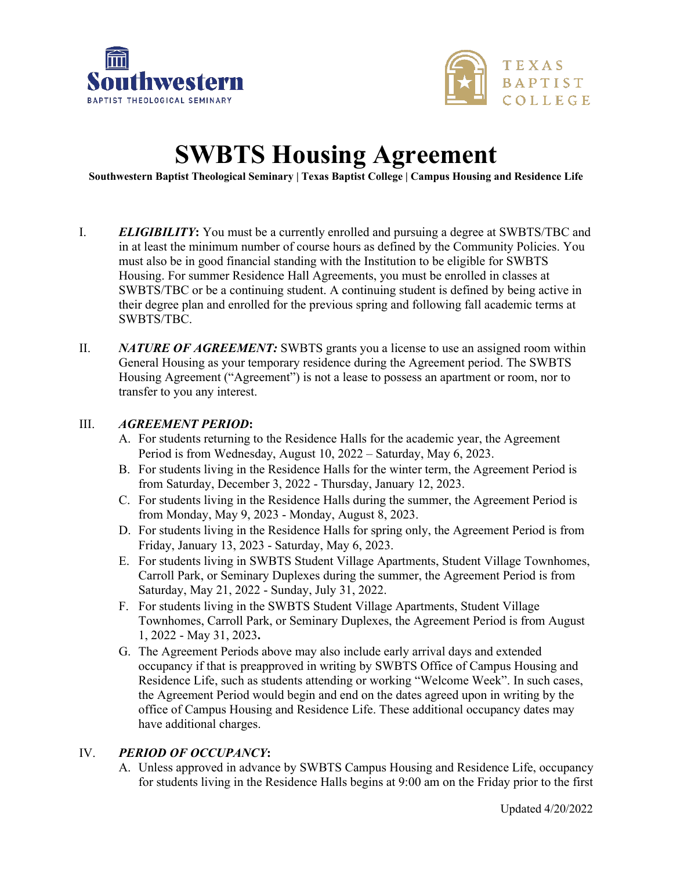



# **SWBTS Housing Agreement**

**Southwestern Baptist Theological Seminary | Texas Baptist College | Campus Housing and Residence Life** 

- I. *ELIGIBILITY***:** You must be a currently enrolled and pursuing a degree at SWBTS/TBC and in at least the minimum number of course hours as defined by the Community Policies. You must also be in good financial standing with the Institution to be eligible for SWBTS Housing. For summer Residence Hall Agreements, you must be enrolled in classes at SWBTS/TBC or be a continuing student. A continuing student is defined by being active in their degree plan and enrolled for the previous spring and following fall academic terms at SWBTS/TBC.
- II. *NATURE OF AGREEMENT:* SWBTS grants you a license to use an assigned room within General Housing as your temporary residence during the Agreement period. The SWBTS Housing Agreement ("Agreement") is not a lease to possess an apartment or room, nor to transfer to you any interest.

#### III. *AGREEMENT PERIOD***:**

- A. For students returning to the Residence Halls for the academic year, the Agreement Period is from Wednesday, August 10, 2022 – Saturday, May 6, 2023.
- B. For students living in the Residence Halls for the winter term, the Agreement Period is from Saturday, December 3, 2022 - Thursday, January 12, 2023.
- C. For students living in the Residence Halls during the summer, the Agreement Period is from Monday, May 9, 2023 - Monday, August 8, 2023.
- D. For students living in the Residence Halls for spring only, the Agreement Period is from Friday, January 13, 2023 - Saturday, May 6, 2023.
- E. For students living in SWBTS Student Village Apartments, Student Village Townhomes, Carroll Park, or Seminary Duplexes during the summer, the Agreement Period is from Saturday, May 21, 2022 - Sunday, July 31, 2022.
- F. For students living in the SWBTS Student Village Apartments, Student Village Townhomes, Carroll Park, or Seminary Duplexes, the Agreement Period is from August 1, 2022 - May 31, 2023**.**
- G. The Agreement Periods above may also include early arrival days and extended occupancy if that is preapproved in writing by SWBTS Office of Campus Housing and Residence Life, such as students attending or working "Welcome Week". In such cases, the Agreement Period would begin and end on the dates agreed upon in writing by the office of Campus Housing and Residence Life. These additional occupancy dates may have additional charges.

#### IV. *PERIOD OF OCCUPANCY***:**

A. Unless approved in advance by SWBTS Campus Housing and Residence Life, occupancy for students living in the Residence Halls begins at 9:00 am on the Friday prior to the first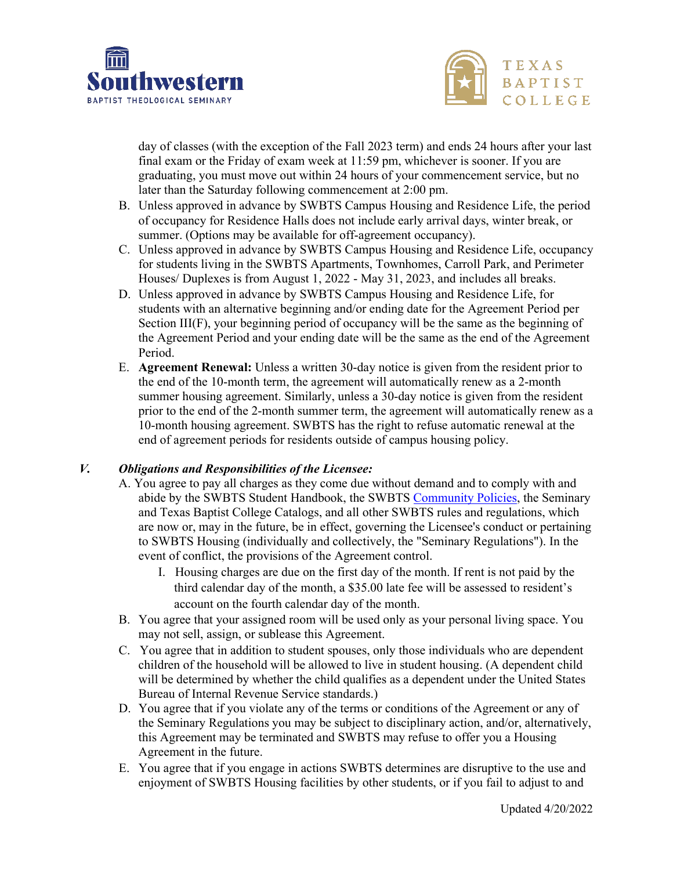



day of classes (with the exception of the Fall 2023 term) and ends 24 hours after your last final exam or the Friday of exam week at 11:59 pm, whichever is sooner. If you are graduating, you must move out within 24 hours of your commencement service, but no later than the Saturday following commencement at 2:00 pm.

- B. Unless approved in advance by SWBTS Campus Housing and Residence Life, the period of occupancy for Residence Halls does not include early arrival days, winter break, or summer. (Options may be available for off-agreement occupancy).
- C. Unless approved in advance by SWBTS Campus Housing and Residence Life, occupancy for students living in the SWBTS Apartments, Townhomes, Carroll Park, and Perimeter Houses/ Duplexes is from August 1, 2022 - May 31, 2023, and includes all breaks.
- D. Unless approved in advance by SWBTS Campus Housing and Residence Life, for students with an alternative beginning and/or ending date for the Agreement Period per Section III(F), your beginning period of occupancy will be the same as the beginning of the Agreement Period and your ending date will be the same as the end of the Agreement Period.
- E. **Agreement Renewal:** Unless a written 30-day notice is given from the resident prior to the end of the 10-month term, the agreement will automatically renew as a 2-month summer housing agreement. Similarly, unless a 30-day notice is given from the resident prior to the end of the 2-month summer term, the agreement will automatically renew as a 10-month housing agreement. SWBTS has the right to refuse automatic renewal at the end of agreement periods for residents outside of campus housing policy.

#### *V. Obligations and Responsibilities of the Licensee:*

- A. You agree to pay all charges as they come due without demand and to comply with and abide by the SWBTS Student Handbook, the SWBTS [Community Policies,](https://swbts.edu/wp-content/uploads/2021/09/2021-2022-Community-Policies.pdf) the Seminary and Texas Baptist College Catalogs, and all other SWBTS rules and regulations, which are now or, may in the future, be in effect, governing the Licensee's conduct or pertaining to SWBTS Housing (individually and collectively, the "Seminary Regulations"). In the event of conflict, the provisions of the Agreement control.
	- I. Housing charges are due on the first day of the month. If rent is not paid by the third calendar day of the month, a \$35.00 late fee will be assessed to resident's account on the fourth calendar day of the month.
- B. You agree that your assigned room will be used only as your personal living space. You may not sell, assign, or sublease this Agreement.
- C. You agree that in addition to student spouses, only those individuals who are dependent children of the household will be allowed to live in student housing. (A dependent child will be determined by whether the child qualifies as a dependent under the United States Bureau of Internal Revenue Service standards.)
- D. You agree that if you violate any of the terms or conditions of the Agreement or any of the Seminary Regulations you may be subject to disciplinary action, and/or, alternatively, this Agreement may be terminated and SWBTS may refuse to offer you a Housing Agreement in the future.
- E. You agree that if you engage in actions SWBTS determines are disruptive to the use and enjoyment of SWBTS Housing facilities by other students, or if you fail to adjust to and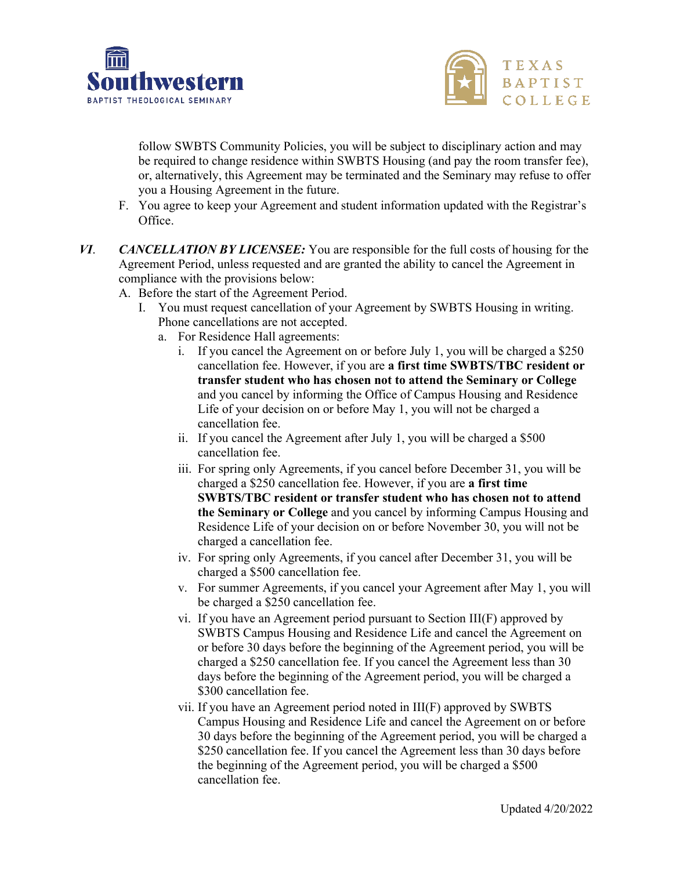



follow SWBTS Community Policies, you will be subject to disciplinary action and may be required to change residence within SWBTS Housing (and pay the room transfer fee), or, alternatively, this Agreement may be terminated and the Seminary may refuse to offer you a Housing Agreement in the future.

- F. You agree to keep your Agreement and student information updated with the Registrar's Office.
- *VI*. *CANCELLATION BY LICENSEE:* You are responsible for the full costs of housing for the Agreement Period, unless requested and are granted the ability to cancel the Agreement in compliance with the provisions below:
	- A. Before the start of the Agreement Period.
		- I. You must request cancellation of your Agreement by SWBTS Housing in writing. Phone cancellations are not accepted.
			- a. For Residence Hall agreements:
				- i. If you cancel the Agreement on or before July 1, you will be charged a \$250 cancellation fee. However, if you are **a first time SWBTS/TBC resident or transfer student who has chosen not to attend the Seminary or College** and you cancel by informing the Office of Campus Housing and Residence Life of your decision on or before May 1, you will not be charged a cancellation fee.
				- ii. If you cancel the Agreement after July 1, you will be charged a \$500 cancellation fee.
				- iii. For spring only Agreements, if you cancel before December 31, you will be charged a \$250 cancellation fee. However, if you are **a first time SWBTS/TBC resident or transfer student who has chosen not to attend the Seminary or College** and you cancel by informing Campus Housing and Residence Life of your decision on or before November 30, you will not be charged a cancellation fee.
				- iv. For spring only Agreements, if you cancel after December 31, you will be charged a \$500 cancellation fee.
				- v. For summer Agreements, if you cancel your Agreement after May 1, you will be charged a \$250 cancellation fee.
				- vi. If you have an Agreement period pursuant to Section III(F) approved by SWBTS Campus Housing and Residence Life and cancel the Agreement on or before 30 days before the beginning of the Agreement period, you will be charged a \$250 cancellation fee. If you cancel the Agreement less than 30 days before the beginning of the Agreement period, you will be charged a \$300 cancellation fee.
				- vii. If you have an Agreement period noted in III(F) approved by SWBTS Campus Housing and Residence Life and cancel the Agreement on or before 30 days before the beginning of the Agreement period, you will be charged a \$250 cancellation fee. If you cancel the Agreement less than 30 days before the beginning of the Agreement period, you will be charged a \$500 cancellation fee.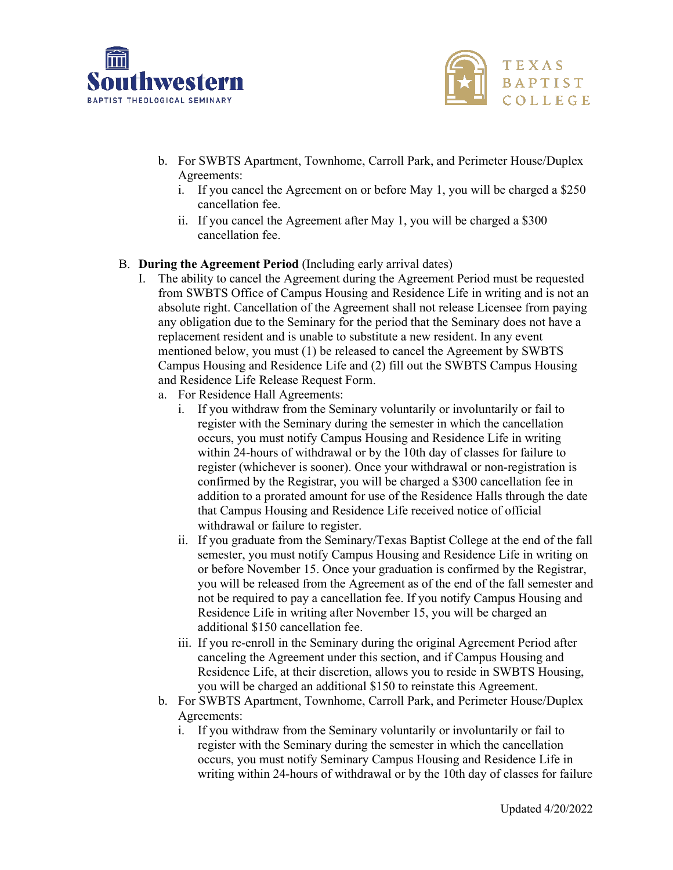



- b. For SWBTS Apartment, Townhome, Carroll Park, and Perimeter House/Duplex Agreements:
	- i. If you cancel the Agreement on or before May 1, you will be charged a \$250 cancellation fee.
	- ii. If you cancel the Agreement after May 1, you will be charged a \$300 cancellation fee.

#### B. **During the Agreement Period** (Including early arrival dates)

- I. The ability to cancel the Agreement during the Agreement Period must be requested from SWBTS Office of Campus Housing and Residence Life in writing and is not an absolute right. Cancellation of the Agreement shall not release Licensee from paying any obligation due to the Seminary for the period that the Seminary does not have a replacement resident and is unable to substitute a new resident. In any event mentioned below, you must (1) be released to cancel the Agreement by SWBTS Campus Housing and Residence Life and (2) fill out the SWBTS Campus Housing and Residence Life Release Request Form.
	- a. For Residence Hall Agreements:
		- i. If you withdraw from the Seminary voluntarily or involuntarily or fail to register with the Seminary during the semester in which the cancellation occurs, you must notify Campus Housing and Residence Life in writing within 24-hours of withdrawal or by the 10th day of classes for failure to register (whichever is sooner). Once your withdrawal or non-registration is confirmed by the Registrar, you will be charged a \$300 cancellation fee in addition to a prorated amount for use of the Residence Halls through the date that Campus Housing and Residence Life received notice of official withdrawal or failure to register.
		- ii. If you graduate from the Seminary/Texas Baptist College at the end of the fall semester, you must notify Campus Housing and Residence Life in writing on or before November 15. Once your graduation is confirmed by the Registrar, you will be released from the Agreement as of the end of the fall semester and not be required to pay a cancellation fee. If you notify Campus Housing and Residence Life in writing after November 15, you will be charged an additional \$150 cancellation fee.
		- iii. If you re-enroll in the Seminary during the original Agreement Period after canceling the Agreement under this section, and if Campus Housing and Residence Life, at their discretion, allows you to reside in SWBTS Housing, you will be charged an additional \$150 to reinstate this Agreement.
	- b. For SWBTS Apartment, Townhome, Carroll Park, and Perimeter House/Duplex Agreements:
		- i. If you withdraw from the Seminary voluntarily or involuntarily or fail to register with the Seminary during the semester in which the cancellation occurs, you must notify Seminary Campus Housing and Residence Life in writing within 24-hours of withdrawal or by the 10th day of classes for failure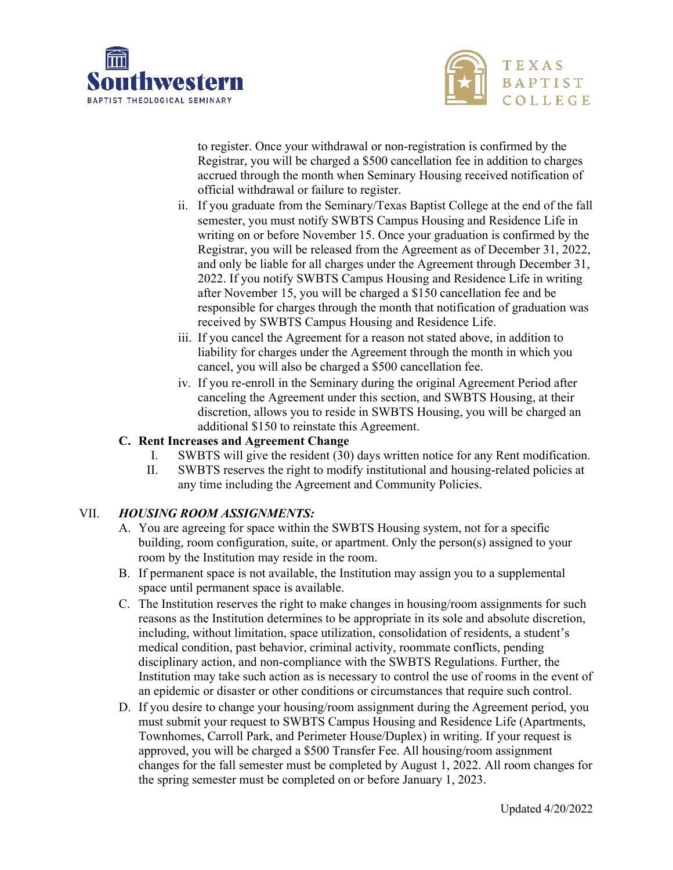



to register. Once your withdrawal or non-registration is confirmed by the Registrar, you will be charged a \$500 cancellation fee in addition to charges accrued through the month when Seminary Housing received notification of official withdrawal or failure to register.

- ii. If you graduate from the Seminary/Texas Baptist College at the end of the fall semester, you must notify SWBTS Campus Housing and Residence Life in writing on or before November 15. Once your graduation is confirmed by the Registrar, you will be released from the Agreement as of December 31, 2022, and only be liable for all charges under the Agreement through December 31, 2022. If you notify SWBTS Campus Housing and Residence Life in writing after November 15, you will be charged a \$150 cancellation fee and be responsible for charges through the month that notification of graduation was received by SWBTS Campus Housing and Residence Life.
- iii. If you cancel the Agreement for a reason not stated above, in addition to liability for charges under the Agreement through the month in which you cancel, you will also be charged a \$500 cancellation fee.
- iv. If you re-enroll in the Seminary during the original Agreement Period after canceling the Agreement under this section, and SWBTS Housing, at their discretion, allows you to reside in SWBTS Housing, you will be charged an additional \$150 to reinstate this Agreement.

## **C. Rent Increases and Agreement Change**

- I. SWBTS will give the resident (30) days written notice for any Rent modification.
- II. SWBTS reserves the right to modify institutional and housing-related policies at any time including the Agreement and Community Policies.

#### VII. *HOUSING ROOM ASSIGNMENTS:*

- A. You are agreeing for space within the SWBTS Housing system, not for a specific building, room configuration, suite, or apartment. Only the person(s) assigned to your room by the Institution may reside in the room.
- B. If permanent space is not available, the Institution may assign you to a supplemental space until permanent space is available.
- C. The Institution reserves the right to make changes in housing/room assignments for such reasons as the Institution determines to be appropriate in its sole and absolute discretion, including, without limitation, space utilization, consolidation of residents, a student's medical condition, past behavior, criminal activity, roommate conflicts, pending disciplinary action, and non-compliance with the SWBTS Regulations. Further, the Institution may take such action as is necessary to control the use of rooms in the event of an epidemic or disaster or other conditions or circumstances that require such control.
- D. If you desire to change your housing/room assignment during the Agreement period, you must submit your request to SWBTS Campus Housing and Residence Life (Apartments, Townhomes, Carroll Park, and Perimeter House/Duplex) in writing. If your request is approved, you will be charged a \$500 Transfer Fee. All housing/room assignment changes for the fall semester must be completed by August 1, 2022. All room changes for the spring semester must be completed on or before January 1, 2023.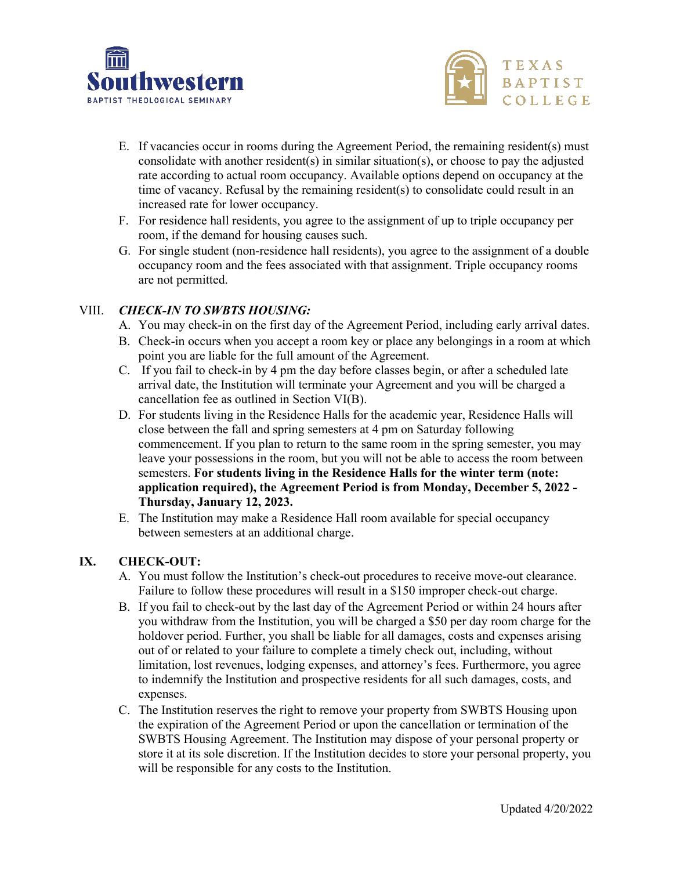



- E. If vacancies occur in rooms during the Agreement Period, the remaining resident(s) must consolidate with another resident(s) in similar situation(s), or choose to pay the adjusted rate according to actual room occupancy. Available options depend on occupancy at the time of vacancy. Refusal by the remaining resident(s) to consolidate could result in an increased rate for lower occupancy.
- F. For residence hall residents, you agree to the assignment of up to triple occupancy per room, if the demand for housing causes such.
- G. For single student (non-residence hall residents), you agree to the assignment of a double occupancy room and the fees associated with that assignment. Triple occupancy rooms are not permitted.

#### VIII. *CHECK-IN TO SWBTS HOUSING:*

- A. You may check-in on the first day of the Agreement Period, including early arrival dates.
- B. Check-in occurs when you accept a room key or place any belongings in a room at which point you are liable for the full amount of the Agreement.
- C. If you fail to check-in by 4 pm the day before classes begin, or after a scheduled late arrival date, the Institution will terminate your Agreement and you will be charged a cancellation fee as outlined in Section VI(B).
- D. For students living in the Residence Halls for the academic year, Residence Halls will close between the fall and spring semesters at 4 pm on Saturday following commencement. If you plan to return to the same room in the spring semester, you may leave your possessions in the room, but you will not be able to access the room between semesters. **For students living in the Residence Halls for the winter term (note: application required), the Agreement Period is from Monday, December 5, 2022 - Thursday, January 12, 2023.**
- E. The Institution may make a Residence Hall room available for special occupancy between semesters at an additional charge.

#### **IX. CHECK-OUT:**

- A. You must follow the Institution's check-out procedures to receive move-out clearance. Failure to follow these procedures will result in a \$150 improper check-out charge.
- B. If you fail to check-out by the last day of the Agreement Period or within 24 hours after you withdraw from the Institution, you will be charged a \$50 per day room charge for the holdover period. Further, you shall be liable for all damages, costs and expenses arising out of or related to your failure to complete a timely check out, including, without limitation, lost revenues, lodging expenses, and attorney's fees. Furthermore, you agree to indemnify the Institution and prospective residents for all such damages, costs, and expenses.
- C. The Institution reserves the right to remove your property from SWBTS Housing upon the expiration of the Agreement Period or upon the cancellation or termination of the SWBTS Housing Agreement. The Institution may dispose of your personal property or store it at its sole discretion. If the Institution decides to store your personal property, you will be responsible for any costs to the Institution.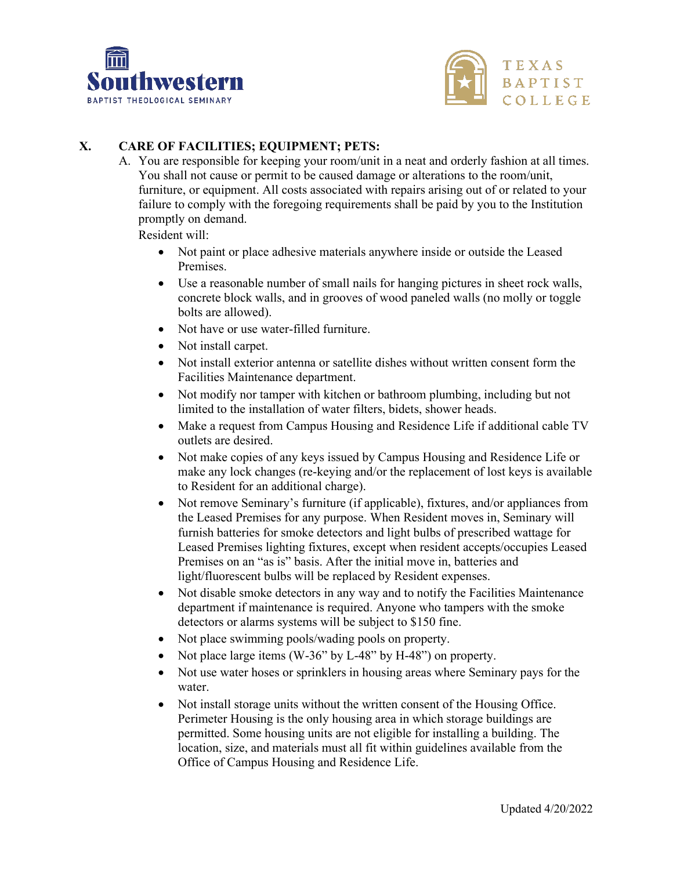



# **X. CARE OF FACILITIES; EQUIPMENT; PETS:**

A. You are responsible for keeping your room/unit in a neat and orderly fashion at all times. You shall not cause or permit to be caused damage or alterations to the room/unit, furniture, or equipment. All costs associated with repairs arising out of or related to your failure to comply with the foregoing requirements shall be paid by you to the Institution promptly on demand.

Resident will:

- Not paint or place adhesive materials anywhere inside or outside the Leased Premises.
- Use a reasonable number of small nails for hanging pictures in sheet rock walls, concrete block walls, and in grooves of wood paneled walls (no molly or toggle bolts are allowed).
- Not have or use water-filled furniture.
- Not install carpet.
- Not install exterior antenna or satellite dishes without written consent form the Facilities Maintenance department.
- Not modify nor tamper with kitchen or bathroom plumbing, including but not limited to the installation of water filters, bidets, shower heads.
- Make a request from Campus Housing and Residence Life if additional cable TV outlets are desired.
- Not make copies of any keys issued by Campus Housing and Residence Life or make any lock changes (re-keying and/or the replacement of lost keys is available to Resident for an additional charge).
- Not remove Seminary's furniture (if applicable), fixtures, and/or appliances from the Leased Premises for any purpose. When Resident moves in, Seminary will furnish batteries for smoke detectors and light bulbs of prescribed wattage for Leased Premises lighting fixtures, except when resident accepts/occupies Leased Premises on an "as is" basis. After the initial move in, batteries and light/fluorescent bulbs will be replaced by Resident expenses.
- Not disable smoke detectors in any way and to notify the Facilities Maintenance department if maintenance is required. Anyone who tampers with the smoke detectors or alarms systems will be subject to \$150 fine.
- Not place swimming pools/wading pools on property.
- Not place large items (W-36" by L-48" by H-48") on property.
- Not use water hoses or sprinklers in housing areas where Seminary pays for the water.
- Not install storage units without the written consent of the Housing Office. Perimeter Housing is the only housing area in which storage buildings are permitted. Some housing units are not eligible for installing a building. The location, size, and materials must all fit within guidelines available from the Office of Campus Housing and Residence Life.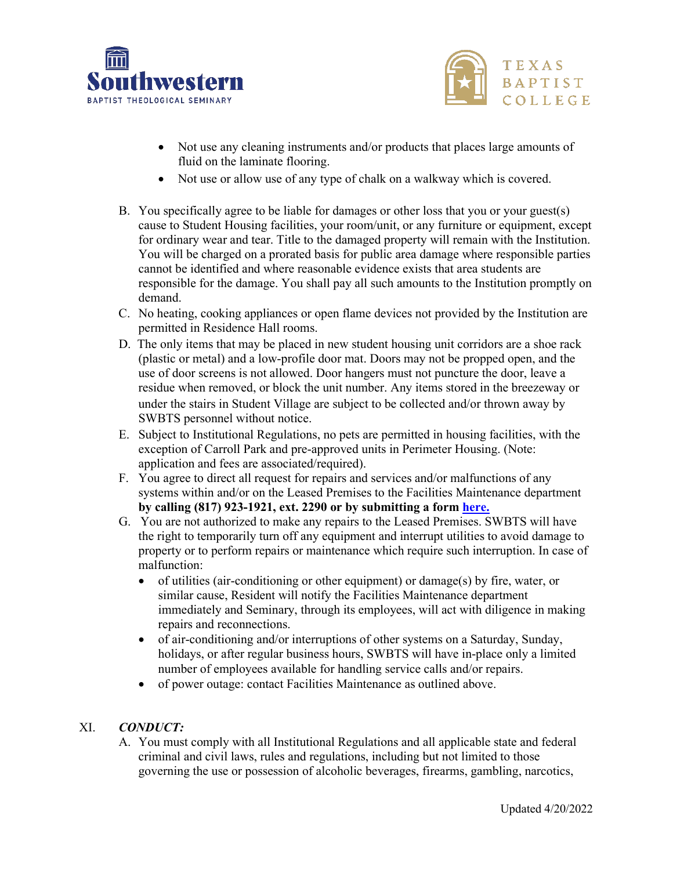



- Not use any cleaning instruments and/or products that places large amounts of fluid on the laminate flooring.
- Not use or allow use of any type of chalk on a walkway which is covered.
- B. You specifically agree to be liable for damages or other loss that you or your guest(s) cause to Student Housing facilities, your room/unit, or any furniture or equipment, except for ordinary wear and tear. Title to the damaged property will remain with the Institution. You will be charged on a prorated basis for public area damage where responsible parties cannot be identified and where reasonable evidence exists that area students are responsible for the damage. You shall pay all such amounts to the Institution promptly on demand.
- C. No heating, cooking appliances or open flame devices not provided by the Institution are permitted in Residence Hall rooms.
- D. The only items that may be placed in new student housing unit corridors are a shoe rack (plastic or metal) and a low-profile door mat. Doors may not be propped open, and the use of door screens is not allowed. Door hangers must not puncture the door, leave a residue when removed, or block the unit number. Any items stored in the breezeway or under the stairs in Student Village are subject to be collected and/or thrown away by SWBTS personnel without notice.
- E. Subject to Institutional Regulations, no pets are permitted in housing facilities, with the exception of Carroll Park and pre-approved units in Perimeter Housing. (Note: application and fees are associated/required).
- F. You agree to direct all request for repairs and services and/or malfunctions of any systems within and/or on the Leased Premises to the Facilities Maintenance department **by calling (817) 923-1921, ext. 2290 or by submitting a form [here.](https://forms.office.com/Pages/ResponsePage.aspx?id=iYBJGQ9yAUCXK5pu5mwHocmPucdvuMpHsZfiM8DF0JlUQk5aWTRIU0swRlhNRVBCNU9YN1pPTzhYNyQlQCN0PWcu)**
- G. You are not authorized to make any repairs to the Leased Premises. SWBTS will have the right to temporarily turn off any equipment and interrupt utilities to avoid damage to property or to perform repairs or maintenance which require such interruption. In case of malfunction:
	- of utilities (air-conditioning or other equipment) or damage(s) by fire, water, or similar cause, Resident will notify the Facilities Maintenance department immediately and Seminary, through its employees, will act with diligence in making repairs and reconnections.
	- of air-conditioning and/or interruptions of other systems on a Saturday, Sunday, holidays, or after regular business hours, SWBTS will have in-place only a limited number of employees available for handling service calls and/or repairs.
	- of power outage: contact Facilities Maintenance as outlined above.

#### XI. *CONDUCT:*

A. You must comply with all Institutional Regulations and all applicable state and federal criminal and civil laws, rules and regulations, including but not limited to those governing the use or possession of alcoholic beverages, firearms, gambling, narcotics,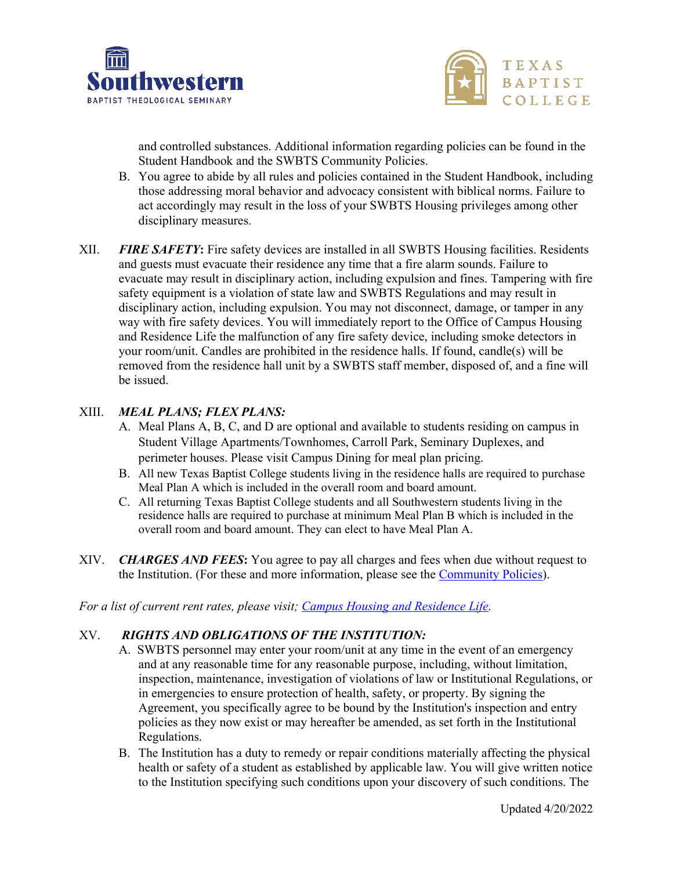



and controlled substances. Additional information regarding policies can be found in the Student Handbook and the SWBTS Community Policies.

- B. You agree to abide by all rules and policies contained in the Student Handbook, including those addressing moral behavior and advocacy consistent with biblical norms. Failure to act accordingly may result in the loss of your SWBTS Housing privileges among other disciplinary measures.
- XII. *FIRE SAFETY***:** Fire safety devices are installed in all SWBTS Housing facilities. Residents and guests must evacuate their residence any time that a fire alarm sounds. Failure to evacuate may result in disciplinary action, including expulsion and fines. Tampering with fire safety equipment is a violation of state law and SWBTS Regulations and may result in disciplinary action, including expulsion. You may not disconnect, damage, or tamper in any way with fire safety devices. You will immediately report to the Office of Campus Housing and Residence Life the malfunction of any fire safety device, including smoke detectors in your room/unit. Candles are prohibited in the residence halls. If found, candle(s) will be removed from the residence hall unit by a SWBTS staff member, disposed of, and a fine will be issued.

#### XIII. *MEAL PLANS; FLEX PLANS:*

- A. Meal Plans A, B, C, and D are optional and available to students residing on campus in Student Village Apartments/Townhomes, Carroll Park, Seminary Duplexes, and perimeter houses. Please visit Campus Dining for meal plan pricing.
- B. All new Texas Baptist College students living in the residence halls are required to purchase Meal Plan A which is included in the overall room and board amount.
- C. All returning Texas Baptist College students and all Southwestern students living in the residence halls are required to purchase at minimum Meal Plan B which is included in the overall room and board amount. They can elect to have Meal Plan A.
- XIV. *CHARGES AND FEES***:** You agree to pay all charges and fees when due without request to the Institution. (For these and more information, please see the [Community Policies\)](https://swbts.edu/wp-content/uploads/2021/09/2021-2022-Community-Policies.pdf).

#### *For a list of current rent rates, please visit; [Campus Housing and Residence Life.](https://swbts.edu/campus-life/student-life/student-housing/)*

#### XV. *RIGHTS AND OBLIGATIONS OF THE INSTITUTION:*

- A. SWBTS personnel may enter your room/unit at any time in the event of an emergency and at any reasonable time for any reasonable purpose, including, without limitation, inspection, maintenance, investigation of violations of law or Institutional Regulations, or in emergencies to ensure protection of health, safety, or property. By signing the Agreement, you specifically agree to be bound by the Institution's inspection and entry policies as they now exist or may hereafter be amended, as set forth in the Institutional Regulations.
- B. The Institution has a duty to remedy or repair conditions materially affecting the physical health or safety of a student as established by applicable law. You will give written notice to the Institution specifying such conditions upon your discovery of such conditions. The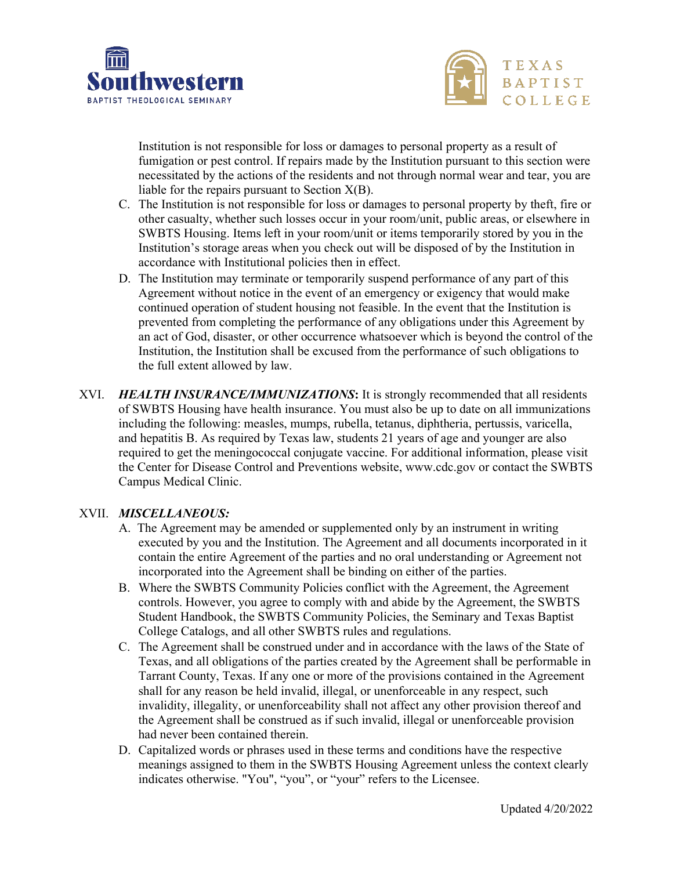



Institution is not responsible for loss or damages to personal property as a result of fumigation or pest control. If repairs made by the Institution pursuant to this section were necessitated by the actions of the residents and not through normal wear and tear, you are liable for the repairs pursuant to Section  $X(B)$ .

- C. The Institution is not responsible for loss or damages to personal property by theft, fire or other casualty, whether such losses occur in your room/unit, public areas, or elsewhere in SWBTS Housing. Items left in your room/unit or items temporarily stored by you in the Institution's storage areas when you check out will be disposed of by the Institution in accordance with Institutional policies then in effect.
- D. The Institution may terminate or temporarily suspend performance of any part of this Agreement without notice in the event of an emergency or exigency that would make continued operation of student housing not feasible. In the event that the Institution is prevented from completing the performance of any obligations under this Agreement by an act of God, disaster, or other occurrence whatsoever which is beyond the control of the Institution, the Institution shall be excused from the performance of such obligations to the full extent allowed by law.
- XVI. *HEALTH INSURANCE/IMMUNIZATIONS***:** It is strongly recommended that all residents of SWBTS Housing have health insurance. You must also be up to date on all immunizations including the following: measles, mumps, rubella, tetanus, diphtheria, pertussis, varicella, and hepatitis B. As required by Texas law, students 21 years of age and younger are also required to get the meningococcal conjugate vaccine. For additional information, please visit the Center for Disease Control and Preventions website, www.cdc.gov or contact the SWBTS Campus Medical Clinic.

#### XVII. *MISCELLANEOUS:*

- A. The Agreement may be amended or supplemented only by an instrument in writing executed by you and the Institution. The Agreement and all documents incorporated in it contain the entire Agreement of the parties and no oral understanding or Agreement not incorporated into the Agreement shall be binding on either of the parties.
- B. Where the SWBTS Community Policies conflict with the Agreement, the Agreement controls. However, you agree to comply with and abide by the Agreement, the SWBTS Student Handbook, the SWBTS Community Policies, the Seminary and Texas Baptist College Catalogs, and all other SWBTS rules and regulations.
- C. The Agreement shall be construed under and in accordance with the laws of the State of Texas, and all obligations of the parties created by the Agreement shall be performable in Tarrant County, Texas. If any one or more of the provisions contained in the Agreement shall for any reason be held invalid, illegal, or unenforceable in any respect, such invalidity, illegality, or unenforceability shall not affect any other provision thereof and the Agreement shall be construed as if such invalid, illegal or unenforceable provision had never been contained therein.
- D. Capitalized words or phrases used in these terms and conditions have the respective meanings assigned to them in the SWBTS Housing Agreement unless the context clearly indicates otherwise. "You", "you", or "your" refers to the Licensee.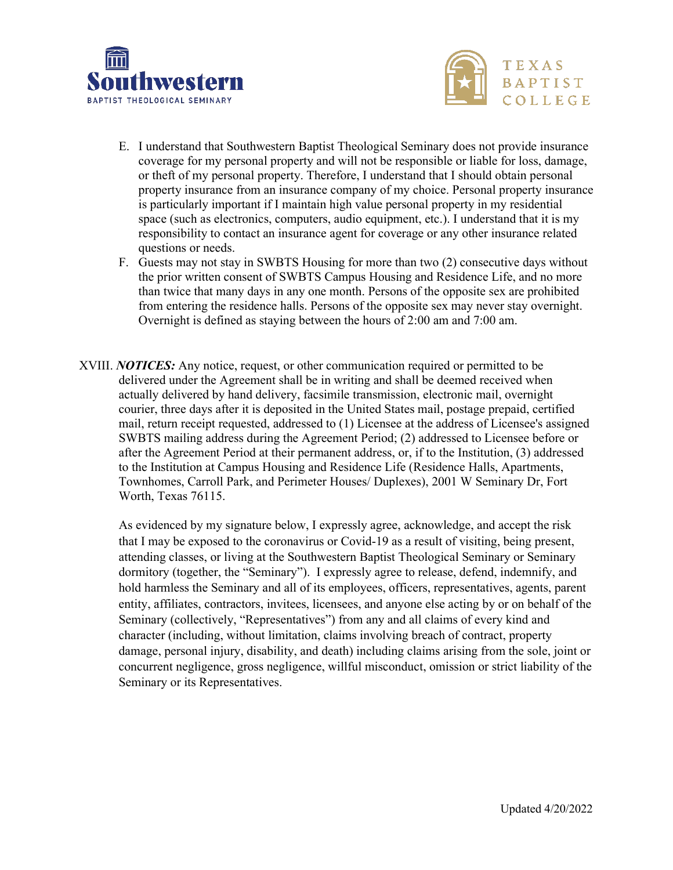



- E. I understand that Southwestern Baptist Theological Seminary does not provide insurance coverage for my personal property and will not be responsible or liable for loss, damage, or theft of my personal property. Therefore, I understand that I should obtain personal property insurance from an insurance company of my choice. Personal property insurance is particularly important if I maintain high value personal property in my residential space (such as electronics, computers, audio equipment, etc.). I understand that it is my responsibility to contact an insurance agent for coverage or any other insurance related questions or needs.
- F. Guests may not stay in SWBTS Housing for more than two (2) consecutive days without the prior written consent of SWBTS Campus Housing and Residence Life, and no more than twice that many days in any one month. Persons of the opposite sex are prohibited from entering the residence halls. Persons of the opposite sex may never stay overnight. Overnight is defined as staying between the hours of 2:00 am and 7:00 am.
- XVIII. *NOTICES:* Any notice, request, or other communication required or permitted to be delivered under the Agreement shall be in writing and shall be deemed received when actually delivered by hand delivery, facsimile transmission, electronic mail, overnight courier, three days after it is deposited in the United States mail, postage prepaid, certified mail, return receipt requested, addressed to (1) Licensee at the address of Licensee's assigned SWBTS mailing address during the Agreement Period; (2) addressed to Licensee before or after the Agreement Period at their permanent address, or, if to the Institution, (3) addressed to the Institution at Campus Housing and Residence Life (Residence Halls, Apartments, Townhomes, Carroll Park, and Perimeter Houses/ Duplexes), 2001 W Seminary Dr, Fort Worth, Texas 76115.

As evidenced by my signature below, I expressly agree, acknowledge, and accept the risk that I may be exposed to the coronavirus or Covid-19 as a result of visiting, being present, attending classes, or living at the Southwestern Baptist Theological Seminary or Seminary dormitory (together, the "Seminary"). I expressly agree to release, defend, indemnify, and hold harmless the Seminary and all of its employees, officers, representatives, agents, parent entity, affiliates, contractors, invitees, licensees, and anyone else acting by or on behalf of the Seminary (collectively, "Representatives") from any and all claims of every kind and character (including, without limitation, claims involving breach of contract, property damage, personal injury, disability, and death) including claims arising from the sole, joint or concurrent negligence, gross negligence, willful misconduct, omission or strict liability of the Seminary or its Representatives.